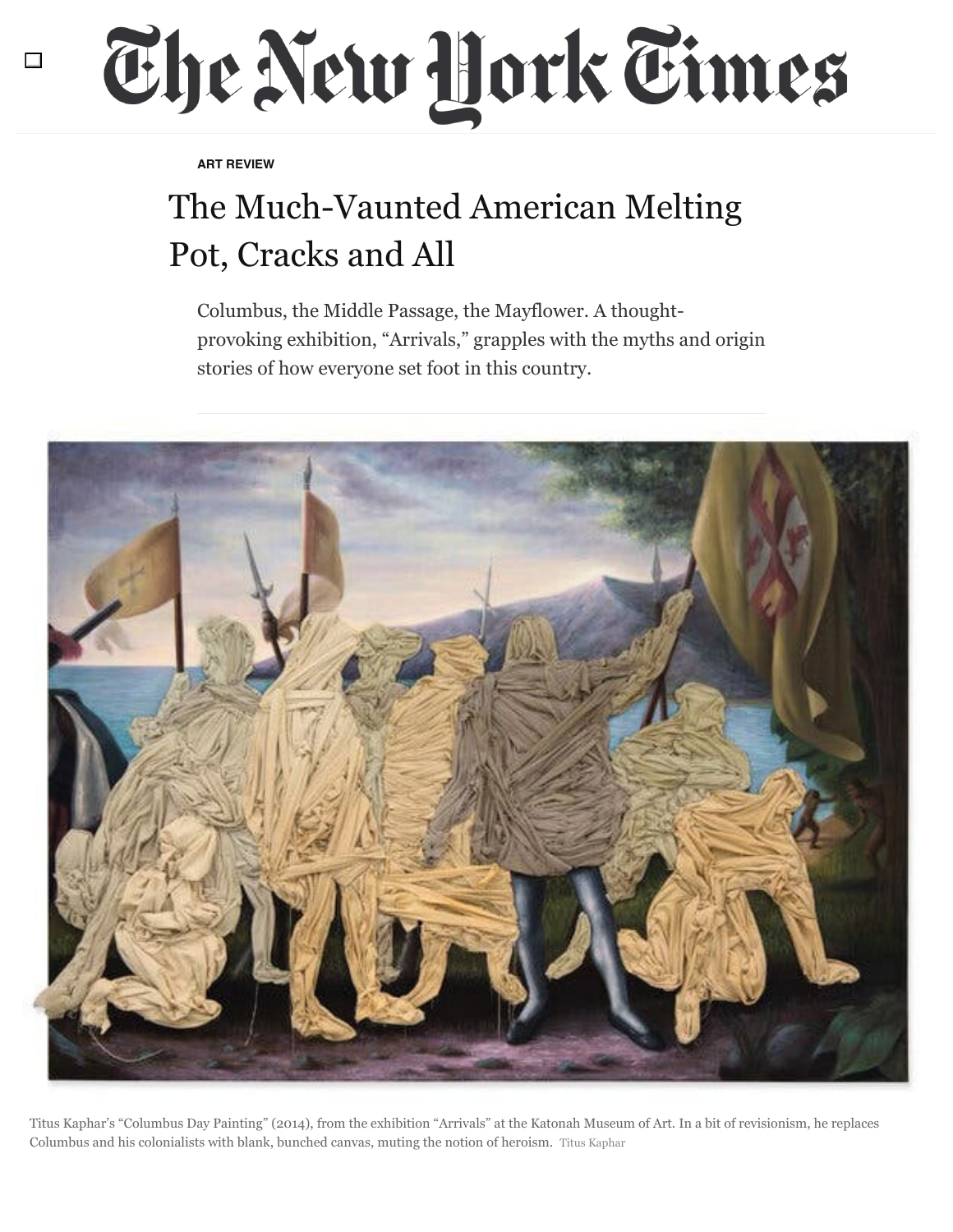## The New Hork Times

**ART REVIEW**

## The Much-Vaunted American Melting Pot, Cracks and All

Columbus, the Middle Passage, the Mayflower. A thoughtprovoking exhibition, "Arrivals," grapples with the myths and origin stories of how everyone set foot in this country.



Titus Kaphar's "Columbus Day Painting" (2014), from the exhibition "Arrivals" at the Katonah Museum of Art. In a bit of revisionism, he replaces Columbus and his colonialists with blank, bunched canvas, muting the notion of heroism. Titus Kaphar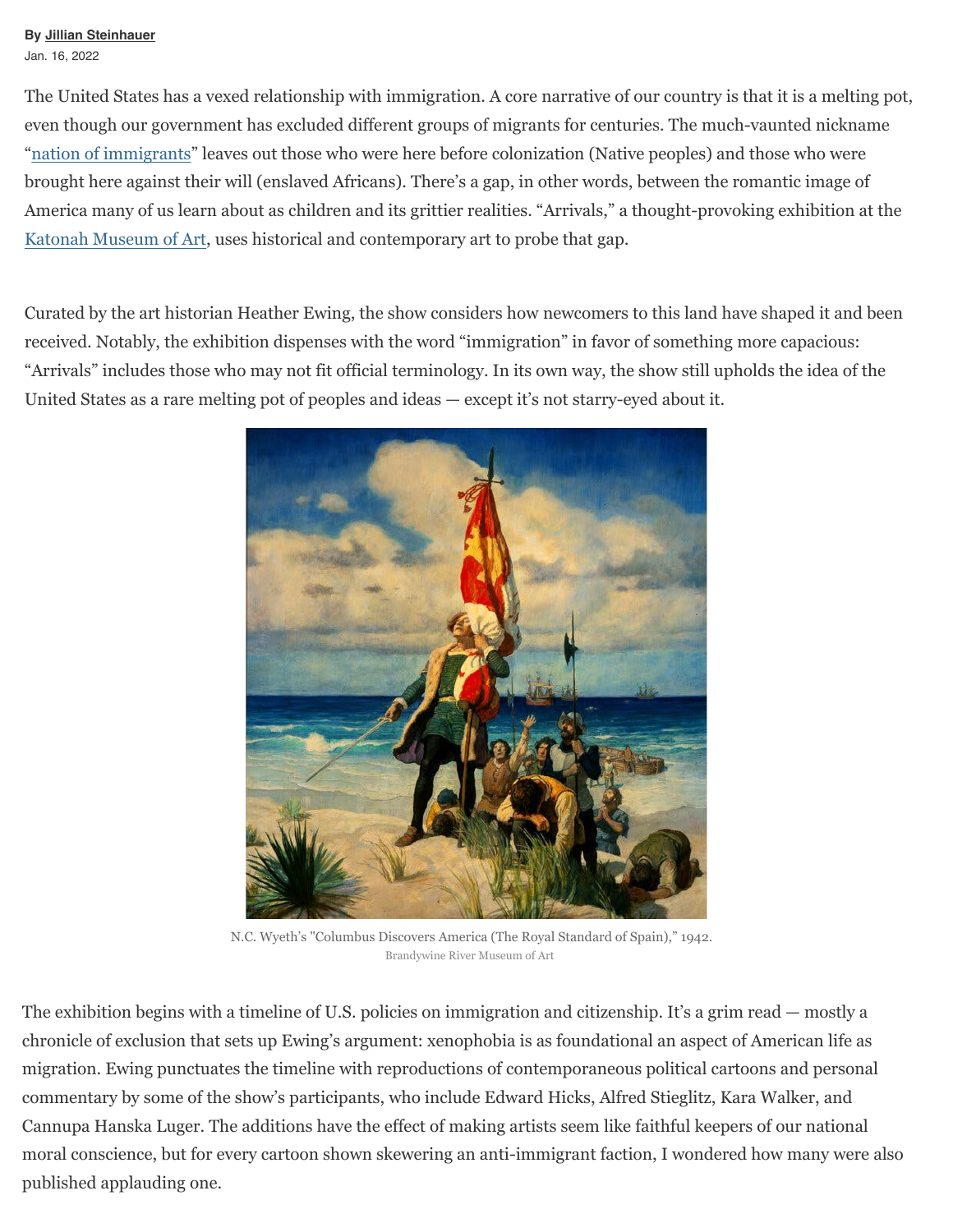## **By Jillian Steinhauer** Jan. 16, 2022

The United States has a vexed relationship with immigration. A core narrative of our country is that it is a melting pot, even though our government has excluded different groups of migrants for centuries. The much-vaunted nickname ["nation of immigrants"](https://www.adl.org/education/resources/tools-and-strategies/jfk-nation-of-immigrants-guide) leaves out those who were here before colonization (Native peoples) and those who were brought here against their will (enslaved Africans). There's a gap, in other words, between the romantic image of America many of us learn about as children and its grittier realities. "Arrivals," a thought-provoking exhibition at the [Katonah Museum of Art,](https://www.katonahmuseum.org/) uses historical and contemporary art to probe that gap.

Curated by the art historian Heather Ewing, the show considers how newcomers to this land have shaped it and been received. Notably, the exhibition dispenses with the word "immigration" in favor of something more capacious: "Arrivals" includes those who may not fit official terminology. In its own way, the show still upholds the idea of the United States as a rare melting pot of peoples and ideas — except it's not starry-eyed about it.



N.C. Wyeth's "Columbus Discovers America (The Royal Standard of Spain)," 1942. Brandywine River Museum of Art

The exhibition begins with a timeline of U.S. policies on immigration and citizenship. It's a grim read — mostly a chronicle of exclusion that sets up Ewing's argument: xenophobia is as foundational an aspect of American life as migration. Ewing punctuates the timeline with reproductions of contemporaneous political cartoons and personal commentary by some of the show's participants, who include Edward Hicks, Alfred Stieglitz, Kara Walker, and Cannupa Hanska Luger. The additions have the effect of making artists seem like faithful keepers of our national moral conscience, but for every cartoon shown skewering an anti-immigrant faction, I wondered how many were also published applauding one.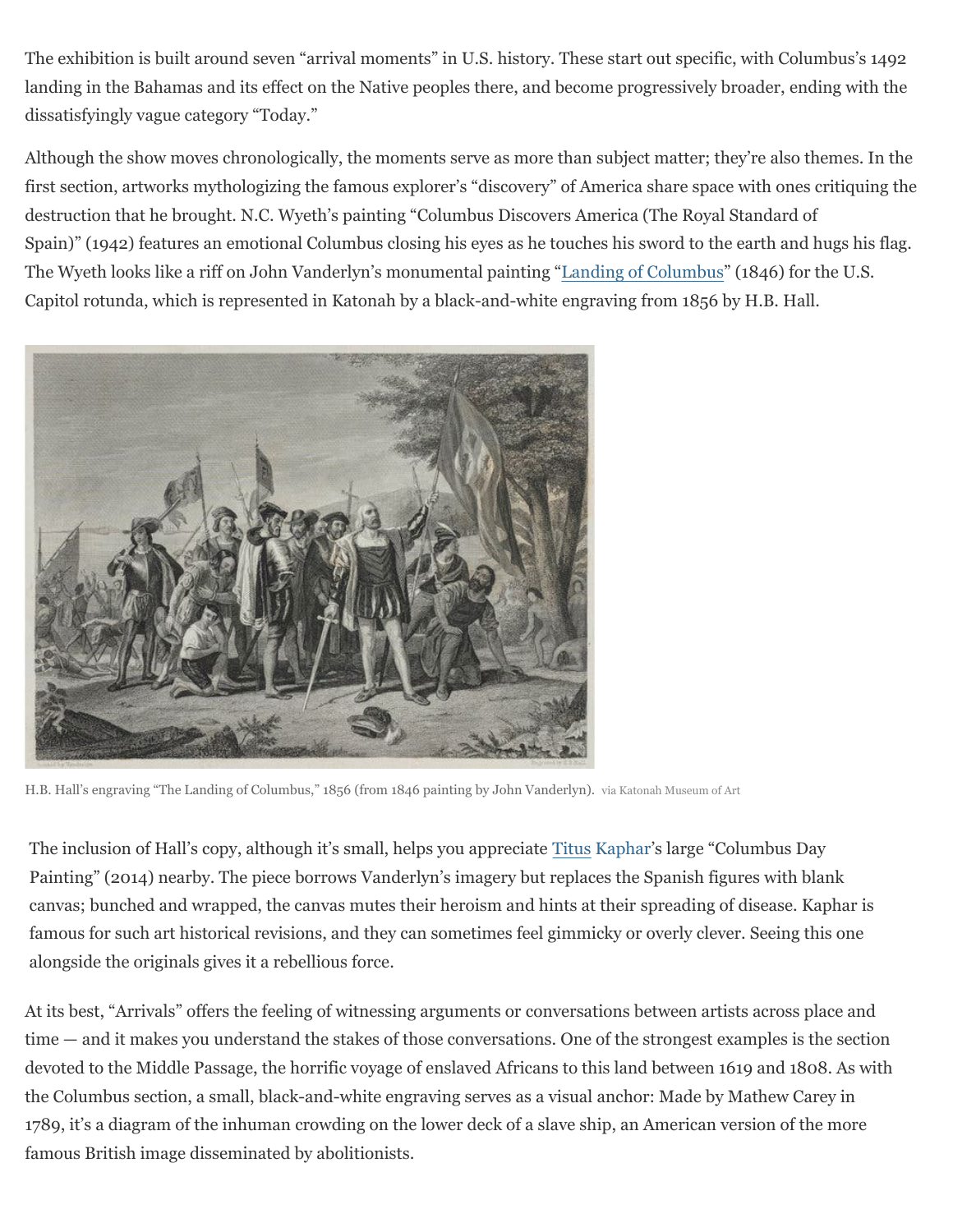The exhibition is built around seven "arrival moments" in U.S. history. These start out specific, with Columbus's 1492 landing in the Bahamas and its effect on the Native peoples there, and become progressively broader, ending with the dissatisfyingly vague category "Today."

Although the show moves chronologically, the moments serve as more than subject matter; they're also themes. In the first section, artworks mythologizing the famous explorer's "discovery" of America share space with ones critiquing the destruction that he brought. N.C. Wyeth's painting "Columbus Discovers America (The Royal Standard of Spain)" (1942) features an emotional Columbus closing his eyes as he touches his sword to the earth and hugs his flag. The Wyeth looks like a riff on John Vanderlyn's monumental painting ["Landing of Columbus](https://www.aoc.gov/explore-capitol-campus/art/landing-columbus)" (1846) for the U.S. Capitol rotunda, which is represented in Katonah by a black-and-white engraving from 1856 by H.B. Hall.



H.B. Hall's engraving "The Landing of Columbus," 1856 (from 1846 painting by John Vanderlyn). via Katonah Museum of Art

The inclusion of Hall's copy, although it's small, helps you appreciate Titus Kaphar's large "Columbus Day Painting" (2014) nearby. The piece borrows Vanderlyn's imagery but replaces the Spanish figures with blank canvas; bunched and wrapped, the canvas mutes their heroism and hints at their spreading of disease. Kaphar is famous for such art historical revisions, and they can sometimes feel gimmicky or overly clever. Seeing this one alongside the originals gives it a rebellious force.

At its best, "Arrivals" offers the feeling of witnessing arguments or conversations between artists across place and time — and it makes you understand the stakes of those conversations. One of the strongest examples is the section devoted to the Middle Passage, the horrific voyage of enslaved Africans to this land between 1619 and 1808. As with the Columbus section, a small, black-and-white engraving serves as a visual anchor: Made by Mathew Carey in 1789, it's a diagram of the inhuman crowding on the lower deck of a slave ship, an American version of the more famous British image disseminated by abolitionists.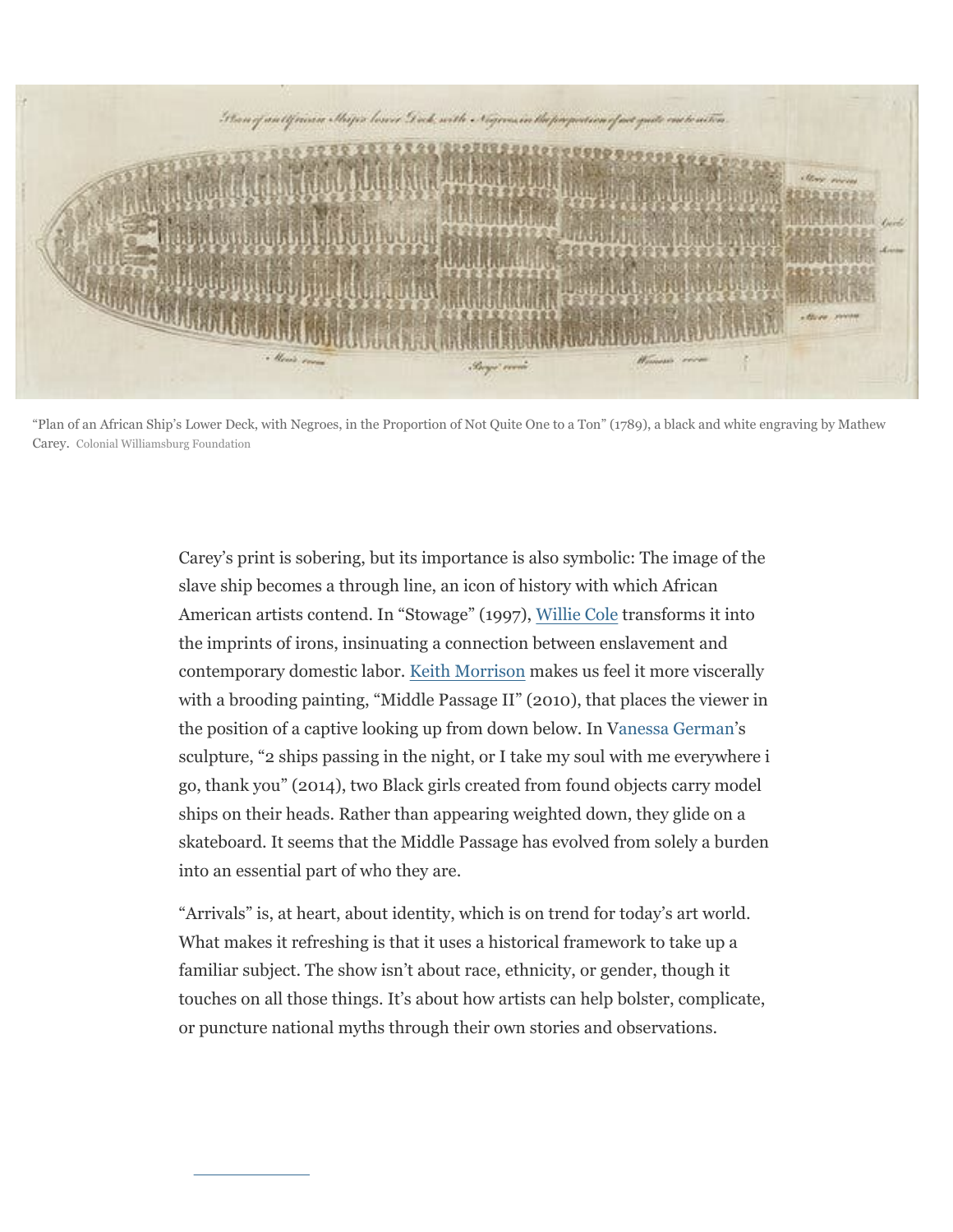

"Plan of an African Ship's Lower Deck, with Negroes, in the Proportion of Not Quite One to a Ton" (1789), a black and white engraving by Mathew Carey. Colonial Williamsburg Foundation

Carey's print is sobering, but its importance is also symbolic: The image of the slave ship becomes a through line, an icon of history with which African American artists contend. In "Stowage" (1997), [Willie Cole](https://www.williecole.com/) transforms it into the imprints of irons, insinuating a connection between enslavement and contemporary domestic labor. [Keith Morrison](http://keithmorrison.com/) makes us feel it more viscerally with a brooding painting, "Middle Passage II" (2010), that places the viewer in the position of a captive looking up from down below. In V[anessa German](https://www.instagram.com/vanessalgerman/?hl=en)'s sculpture, "2 ships passing in the night, or I take my soul with me everywhere i go, thank you" (2014), two Black girls created from found objects carry model ships on their heads. Rather than appearing weighted down, they glide on a skateboard. It seems that the Middle Passage has evolved from solely a burden into an essential part of who they are.

"Arrivals" is, at heart, about identity, which is on trend for today's art world. What makes it refreshing is that it uses a historical framework to take up a familiar subject. The show isn't about race, ethnicity, or gender, though it touches on all those things. It's about how artists can help bolster, complicate, or puncture national myths through their own stories and observations.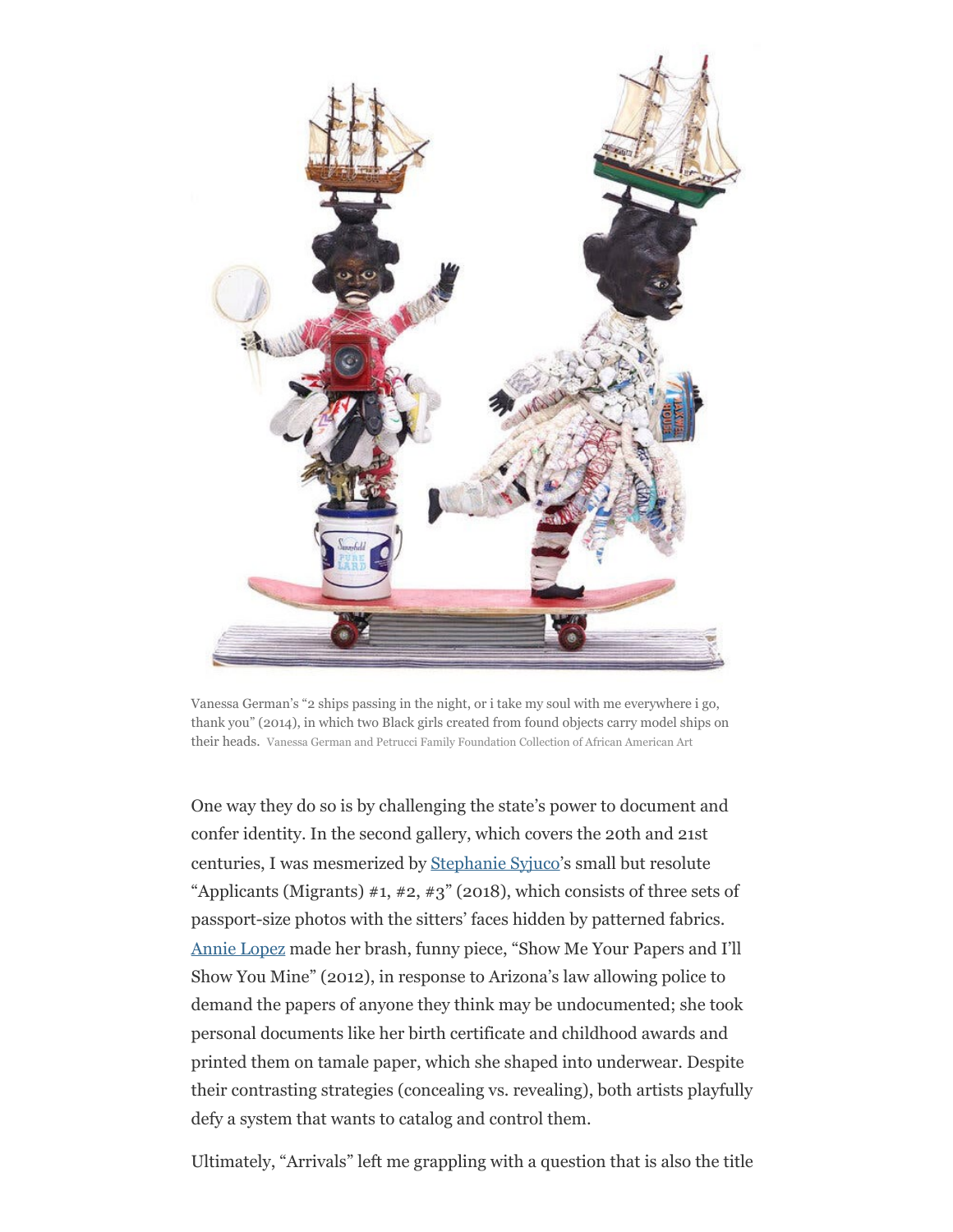

Vanessa German's "2 ships passing in the night, or i take my soul with me everywhere i go, thank you" (2014), in which two Black girls created from found objects carry model ships on their heads. Vanessa German and Petrucci Family Foundation Collection of African American Art

One way they do so is by challenging the state's power to document and confer identity. In the second gallery, which covers the 20th and 21st centuries, I was mesmerized by [Stephanie Syjuco'](https://www.stephaniesyjuco.com/)s small but resolute "Applicants (Migrants)  $\#1, \#2, \#3$ " (2018), which consists of three sets of passport-size photos with the sitters' faces hidden by patterned fabrics. [Annie Lopez](https://annielopezartist.com/) made her brash, funny piece, "Show Me Your Papers and I'll Show You Mine" (2012), in response to Arizona's law allowing police to demand the papers of anyone they think may be undocumented; she took personal documents like her birth certificate and childhood awards and printed them on tamale paper, which she shaped into underwear. Despite their contrasting strategies (concealing vs. revealing), both artists playfully defy a system that wants to catalog and control them.

Ultimately, "Arrivals" left me grappling with a question that is also the title